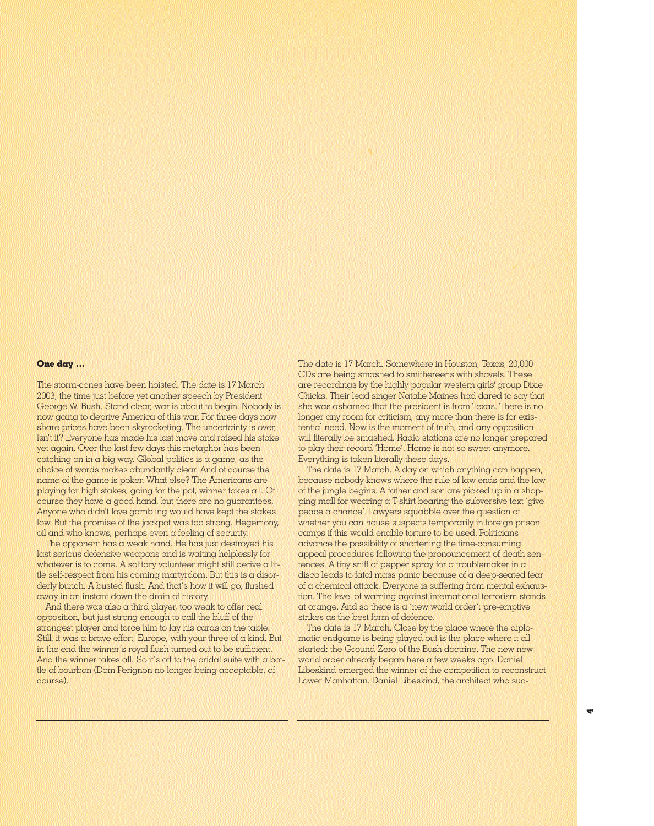## **One day …**

The storm-cones have been hoisted. The date is 17 March 2003, the time just before yet another speech by President George W. Bush. Stand clear, war is about to begin. Nobody is now going to deprive America of this war. For three days now share prices have been skyrocketing. The uncertainty is over, isn't it? Everyone has made his last move and raised his stake yet again. Over the last few days this metaphor has been catching on in a big way. Global politics is a game, as the choice of words makes abundantly clear. And of course the name of the game is poker. What else? The Americans are playing for high stakes, going for the pot, winner takes all. Of course they have a good hand, but there are no guarantees. Anyone who didn't love gambling would have kept the stakes low. But the promise of the jackpot was too strong. Hegemony, oil and who knows, perhaps even a feeling of security.

The opponent has a weak hand. He has just destroyed his last serious defensive weapons and is waiting helplessly for whatever is to come. A solitary volunteer might still derive  $\alpha$  little self-respect from his coming martyrdom. But this is a disorderly bunch. A busted flush. And that's how it will go, flushed away in an instant down the drain of history.

And there was also a third player, too weak to offer real opposition, but just strong enough to call the bluff of the strongest player and force him to lay his cards on the table. Still, it was a brave effort, Europe, with your three of a kind. But in the end the winner's royal flush turned out to be sufficient. And the winner takes all. So it's off to the bridal suite with a bottle of bourbon (Dom Perignon no longer being acceptable, of course).

The date is 17 March. Somewhere in Houston, Texas, 20,000 CDs are being smashed to smithereens with shovels. These are recordings by the highly popular western girls' group Dixie Chicks. Their lead singer Natalie Maines had dared to say that she was ashamed that the president is from Texas. There is no longer any room for criticism, any more than there is for existential need. Now is the moment of truth, and any opposition will literally be smashed. Radio stations are no longer prepared to play their record 'Home'. Home is not so sweet anymore. Everything is taken literally these days.

The date is 17 March. A day on which anything can happen, because nobody knows where the rule of law ends and the law of the jungle begins. A father and son are picked up in  $\alpha$  shopping mall for wearing a T-shirt bearing the subversive text 'give peace a chance'. Lawyers squabble over the question of whether you can house suspects temporarily in foreign prison camps if this would enable torture to be used. Politicians advance the possibility of shortening the time-consuming appeal procedures following the pronouncement of death sentences. A tiny sniff of pepper spray for a troublemaker in  $\alpha$ disco leads to fatal mass panic because of a deep-seated fear of a chemical attack. Everyone is suffering from mental exhaustion. The level of warning against international terrorism stands at orange. And so there is a 'new world order': pre-emptive strikes as the best form of defence.

The date is 17 March. Close by the place where the diplomatic endgame is being played out is the place where it all started: the Ground Zero of the Bush doctrine. The new new world order already began here a few weeks ago. Daniel Libeskind emerged the winner of the competition to reconstruct Lower Manhattan. Daniel Libeskind, the architect who suc-